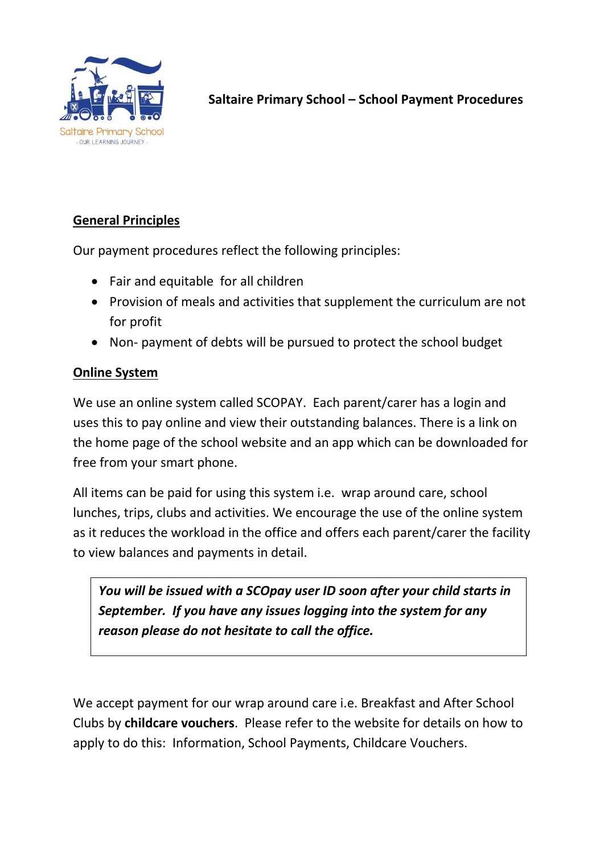

# **General Principles**

Our payment procedures reflect the following principles:

- Fair and equitable for all children
- Provision of meals and activities that supplement the curriculum are not for profit
- Non- payment of debts will be pursued to protect the school budget

## **Online System**

We use an online system called SCOPAY. Each parent/carer has a login and uses this to pay online and view their outstanding balances. There is a link on the home page of the school website and an app which can be downloaded for free from your smart phone.

All items can be paid for using this system i.e. wrap around care, school lunches, trips, clubs and activities. We encourage the use of the online system as it reduces the workload in the office and offers each parent/carer the facility to view balances and payments in detail.

*You will be issued with a SCOpay user ID soon after your child starts in September. If you have any issues logging into the system for any reason please do not hesitate to call the office.*

We accept payment for our wrap around care i.e. Breakfast and After School Clubs by **childcare vouchers**. Please refer to the website for details on how to apply to do this: Information, School Payments, Childcare Vouchers.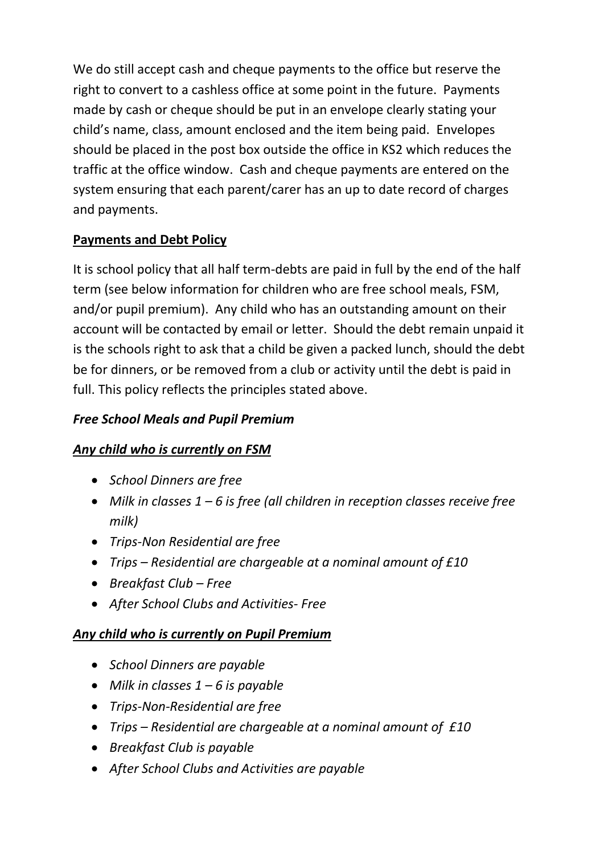We do still accept cash and cheque payments to the office but reserve the right to convert to a cashless office at some point in the future. Payments made by cash or cheque should be put in an envelope clearly stating your child's name, class, amount enclosed and the item being paid. Envelopes should be placed in the post box outside the office in KS2 which reduces the traffic at the office window. Cash and cheque payments are entered on the system ensuring that each parent/carer has an up to date record of charges and payments.

# **Payments and Debt Policy**

It is school policy that all half term-debts are paid in full by the end of the half term (see below information for children who are free school meals, FSM, and/or pupil premium). Any child who has an outstanding amount on their account will be contacted by email or letter. Should the debt remain unpaid it is the schools right to ask that a child be given a packed lunch, should the debt be for dinners, or be removed from a club or activity until the debt is paid in full. This policy reflects the principles stated above.

## *Free School Meals and Pupil Premium*

## *Any child who is currently on FSM*

- *School Dinners are free*
- *Milk in classes 1 – 6 is free (all children in reception classes receive free milk)*
- *Trips-Non Residential are free*
- *Trips – Residential are chargeable at a nominal amount of £10*
- *Breakfast Club – Free*
- *After School Clubs and Activities- Free*

## *Any child who is currently on Pupil Premium*

- *School Dinners are payable*
- *Milk in classes 1 – 6 is payable*
- *Trips-Non-Residential are free*
- *Trips – Residential are chargeable at a nominal amount of £10*
- *Breakfast Club is payable*
- *After School Clubs and Activities are payable*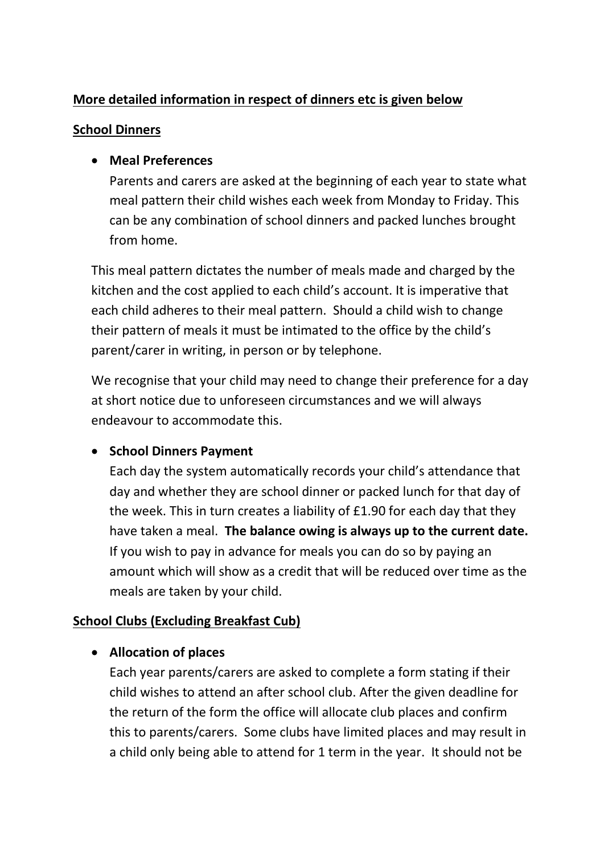### **More detailed information in respect of dinners etc is given below**

#### **School Dinners**

### **Meal Preferences**

Parents and carers are asked at the beginning of each year to state what meal pattern their child wishes each week from Monday to Friday. This can be any combination of school dinners and packed lunches brought from home.

This meal pattern dictates the number of meals made and charged by the kitchen and the cost applied to each child's account. It is imperative that each child adheres to their meal pattern. Should a child wish to change their pattern of meals it must be intimated to the office by the child's parent/carer in writing, in person or by telephone.

We recognise that your child may need to change their preference for a day at short notice due to unforeseen circumstances and we will always endeavour to accommodate this.

### **• School Dinners Payment**

Each day the system automatically records your child's attendance that day and whether they are school dinner or packed lunch for that day of the week. This in turn creates a liability of £1.90 for each day that they have taken a meal. **The balance owing is always up to the current date.** If you wish to pay in advance for meals you can do so by paying an amount which will show as a credit that will be reduced over time as the meals are taken by your child.

### **School Clubs (Excluding Breakfast Cub)**

#### **Allocation of places**

Each year parents/carers are asked to complete a form stating if their child wishes to attend an after school club. After the given deadline for the return of the form the office will allocate club places and confirm this to parents/carers. Some clubs have limited places and may result in a child only being able to attend for 1 term in the year. It should not be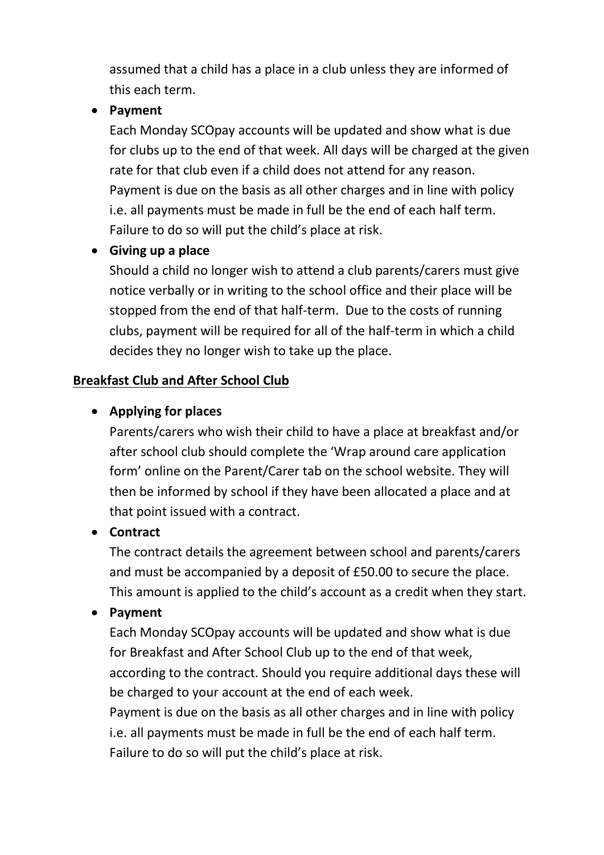assumed that a child has a place in a club unless they are informed of this each term.

#### **Payment**

Each Monday SCOpay accounts will be updated and show what is due for clubs up to the end of that week. All days will be charged at the given rate for that club even if a child does not attend for any reason. Payment is due on the basis as all other charges and in line with policy i.e. all payments must be made in full be the end of each half term. Failure to do so will put the child's place at risk.

### **Giving up a place**

Should a child no longer wish to attend a club parents/carers must give notice verbally or in writing to the school office and their place will be stopped from the end of that half-term. Due to the costs of running clubs, payment will be required for all of the half-term in which a child decides they no longer wish to take up the place.

### **Breakfast Club and After School Club**

## **Applying for places**

Parents/carers who wish their child to have a place at breakfast and/or after school club should complete the 'Wrap around care application form' online on the Parent/Carer tab on the school website. They will then be informed by school if they have been allocated a place and at that point issued with a contract.

## **Contract**

The contract details the agreement between school and parents/carers and must be accompanied by a deposit of £50.00 to secure the place. This amount is applied to the child's account as a credit when they start.

## **Payment**

Each Monday SCOpay accounts will be updated and show what is due for Breakfast and After School Club up to the end of that week, according to the contract. Should you require additional days these will be charged to your account at the end of each week.

Payment is due on the basis as all other charges and in line with policy i.e. all payments must be made in full be the end of each half term. Failure to do so will put the child's place at risk.